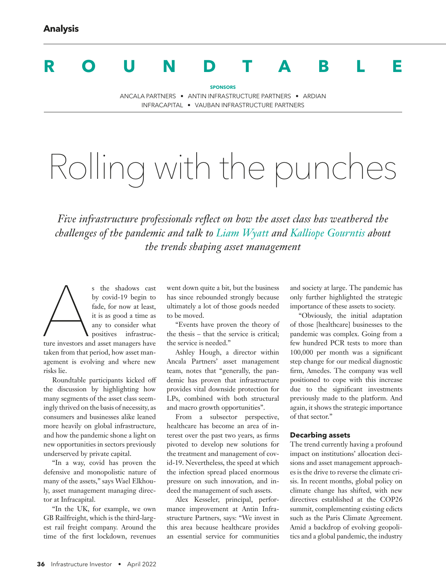# **ROUNDTABLE**

**SPONSORS**

ANCALA PARTNERS • ANTIN INFRASTRUCTURE PARTNERS • ARDIAN INFRACAPITAL • VAUBAN INFRASTRUCTURE PARTNERS

# Rolling with the punches

*Five infrastructure professionals reflect on how the asset class has weathered the challenges of the pandemic and talk to Liam Wyatt and Kalliope Gourntis about the trends shaping asset management*

s the shadows cast<br>by covid-19 begin to<br>fade, for now at least,<br>it is as good a time as<br>any to consider what<br>positives infrastruc-<br>ture investors and asset managers have by covid-19 begin to fade, for now at least, it is as good a time as any to consider what positives infrastructure investors and asset managers have taken from that period, how asset management is evolving and where new risks lie.

Roundtable participants kicked off the discussion by highlighting how many segments of the asset class seemingly thrived on the basis of necessity, as consumers and businesses alike leaned more heavily on global infrastructure, and how the pandemic shone a light on new opportunities in sectors previously underserved by private capital.

"In a way, covid has proven the defensive and monopolistic nature of many of the assets," says Wael Elkhouly, asset management managing director at Infracapital.

"In the UK, for example, we own GB Railfreight, which is the third-largest rail freight company. Around the time of the first lockdown, revenues

went down quite a bit, but the business has since rebounded strongly because ultimately a lot of those goods needed to be moved.

"Events have proven the theory of the thesis – that the service is critical; the service is needed."

Ashley Hough, a director within Ancala Partners' asset management team, notes that "generally, the pandemic has proven that infrastructure provides vital downside protection for LPs, combined with both structural and macro growth opportunities".

From a subsector perspective, healthcare has become an area of interest over the past two years, as firms pivoted to develop new solutions for the treatment and management of covid-19. Nevertheless, the speed at which the infection spread placed enormous pressure on such innovation, and indeed the management of such assets.

Alex Kesseler, principal, performance improvement at Antin Infrastructure Partners, says: "We invest in this area because healthcare provides an essential service for communities and society at large. The pandemic has only further highlighted the strategic importance of these assets to society.

"Obviously, the initial adaptation of those [healthcare] businesses to the pandemic was complex. Going from a few hundred PCR tests to more than 100,000 per month was a significant step change for our medical diagnostic firm, Amedes. The company was well positioned to cope with this increase due to the significant investments previously made to the platform. And again, it shows the strategic importance of that sector."

### **Decarbing assets**

The trend currently having a profound impact on institutions' allocation decisions and asset management approaches is the drive to reverse the climate crisis. In recent months, global policy on climate change has shifted, with new directives established at the COP26 summit, complementing existing edicts such as the Paris Climate Agreement. Amid a backdrop of evolving geopolitics and a global pandemic, the industry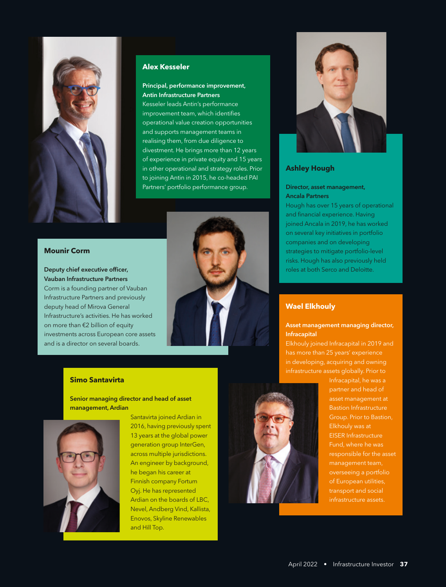

# **Alex Kesseler**

#### Principal, performance improvement, Antin Infrastructure Partners

Kesseler leads Antin's performance improvement team, which identifies operational value creation opportunities and supports management teams in realising them, from due diligence to divestment. He brings more than 12 years of experience in private equity and 15 years in other operational and strategy roles. Prior to joining Antin in 2015, he co-headed PAI Partners' portfolio performance group.

# **Mounir Corm**

Deputy chief executive officer, Vauban Infrastructure Partners Corm is a founding partner of Vauban Infrastructure Partners and previously deputy head of Mirova General Infrastructure's activities. He has worked on more than €2 billion of equity investments across European core assets and is a director on several boards.



#### **Simo Santavirta**

Senior managing director and head of asset management, Ardian



Santavirta joined Ardian in 2016, having previously spent 13 years at the global power generation group InterGen, across multiple jurisdictions. An engineer by background, he began his career at Finnish company Fortum Oyj. He has represented Ardian on the boards of LBC, Nevel, Andberg Vind, Kallista, Enovos, Skyline Renewables and Hill Top.



# **Ashley Hough**

## Director, asset management, Ancala Partners

Hough has over 15 years of operational and financial experience. Having joined Ancala in 2019, he has worked on several key initiatives in portfolio companies and on developing strategies to mitigate portfolio-level risks. Hough has also previously held roles at both Serco and Deloitte.

### **Wael Elkhouly**

#### Asset management managing director, Infracapital

Elkhouly joined Infracapital in 2019 and has more than 25 years' experience in developing, acquiring and owning infrastructure assets globally. Prior to



Infracapital, he was a partner and head of asset management at Bastion Infrastructure Group. Prior to Bastion, EISER Infrastructure Fund, where he was responsible for the asset management team, overseeing a portfolio of European utilities, transport and social infrastructure assets.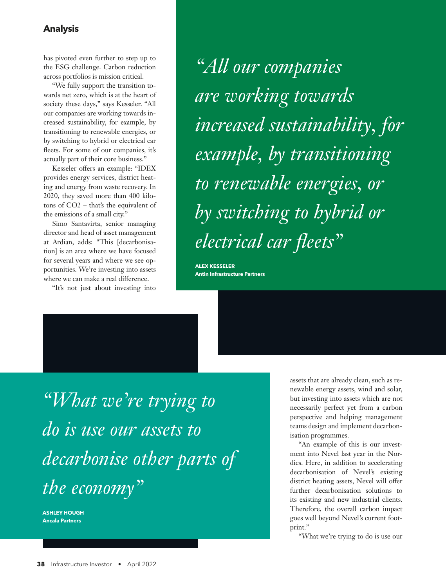# **Analysis**

has pivoted even further to step up to the ESG challenge. Carbon reduction across portfolios is mission critical.

"We fully support the transition towards net zero, which is at the heart of society these days," says Kesseler. "All our companies are working towards increased sustainability, for example, by transitioning to renewable energies, or by switching to hybrid or electrical car fleets. For some of our companies, it's actually part of their core business."

Kesseler offers an example: "IDEX provides energy services, district heating and energy from waste recovery. In 2020, they saved more than 400 kilotons of CO2 – that's the equivalent of the emissions of a small city."

Simo Santavirta, senior managing director and head of asset management at Ardian, adds: "This [decarbonisation] is an area where we have focused for several years and where we see opportunities. We're investing into assets where we can make a real difference.

"It's not just about investing into

*"All our companies are working towards increased sustainability, for example, by transitioning to renewable energies, or by switching to hybrid or electrical car fleets"* 

**ALEX KESSELER Antin Infrastructure Partners**

*"What we're trying to do is use our assets to decarbonise other parts of the economy"* 

**ASHLEY HOUGH Ancala Partners**

assets that are already clean, such as renewable energy assets, wind and solar, but investing into assets which are not necessarily perfect yet from a carbon perspective and helping management teams design and implement decarbonisation programmes.

"An example of this is our investment into Nevel last year in the Nordics. Here, in addition to accelerating decarbonisation of Nevel's existing district heating assets, Nevel will offer further decarbonisation solutions to its existing and new industrial clients. Therefore, the overall carbon impact goes well beyond Nevel's current footprint."

"What we're trying to do is use our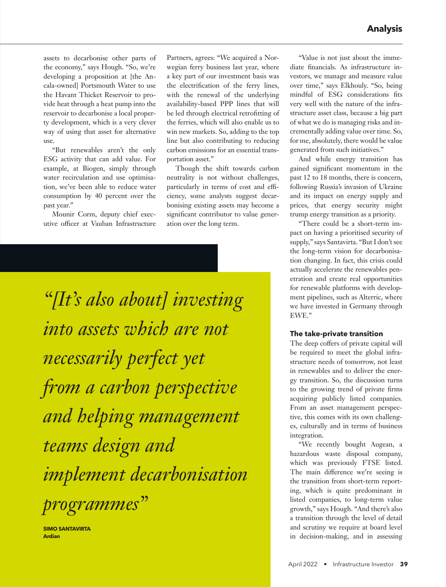assets to decarbonise other parts of the economy," says Hough. "So, we're developing a proposition at [the Ancala-owned] Portsmouth Water to use the Havant Thicket Reservoir to provide heat through a heat pump into the reservoir to decarbonise a local property development, which is a very clever way of using that asset for alternative use.

"But renewables aren't the only ESG activity that can add value. For example, at Biogen, simply through water recirculation and use optimisation, we've been able to reduce water consumption by 40 percent over the past year."

Mounir Corm, deputy chief executive officer at Vauban Infrastructure Partners, agrees: "We acquired a Norwegian ferry business last year, where a key part of our investment basis was the electrification of the ferry lines, with the renewal of the underlying availability-based PPP lines that will be led through electrical retrofitting of the ferries, which will also enable us to win new markets. So, adding to the top line but also contributing to reducing carbon emissions for an essential transportation asset."

Though the shift towards carbon neutrality is not without challenges, particularly in terms of cost and efficiency, some analysts suggest decarbonising existing assets may become a significant contributor to value generation over the long term.

*"[It's also about] investing into assets which are not necessarily perfect yet from a carbon perspective and helping management teams design and implement decarbonisation programmes"* 

**SIMO SANTAVIRTA Ardian**

"Value is not just about the immediate financials. As infrastructure investors, we manage and measure value over time," says Elkhouly. "So, being mindful of ESG considerations fits very well with the nature of the infrastructure asset class, because a big part of what we do is managing risks and incrementally adding value over time. So, for me, absolutely, there would be value generated from such initiatives."

And while energy transition has gained significant momentum in the past 12 to 18 months, there is concern, following Russia's invasion of Ukraine and its impact on energy supply and prices, that energy security might trump energy transition as a priority.

"There could be a short-term impact on having a prioritised security of supply," says Santavirta. "But I don't see the long-term vision for decarbonisation changing. In fact, this crisis could actually accelerate the renewables penetration and create real opportunities for renewable platforms with development pipelines, such as Alterric, where we have invested in Germany through EWE."

#### **The take-private transition**

The deep coffers of private capital will be required to meet the global infrastructure needs of tomorrow, not least in renewables and to deliver the energy transition. So, the discussion turns to the growing trend of private firms acquiring publicly listed companies. From an asset management perspective, this comes with its own challenges, culturally and in terms of business integration.

"We recently bought Augean, a hazardous waste disposal company, which was previously FTSE listed. The main difference we're seeing is the transition from short-term reporting, which is quite predominant in listed companies, to long-term value growth," says Hough. "And there's also a transition through the level of detail and scrutiny we require at board level in decision-making, and in assessing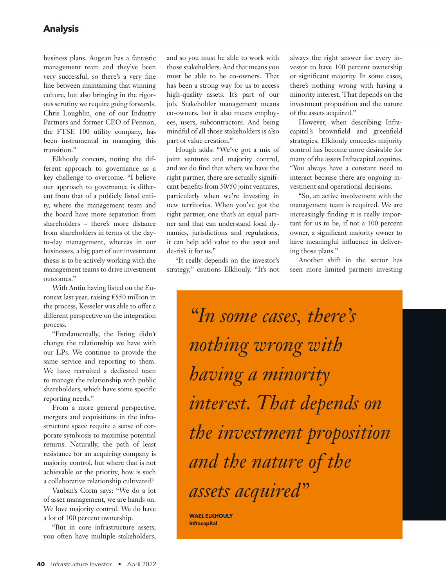business plans. Augean has a fantastic management team and they've been very successful, so there's a very fine line between maintaining that winning culture, but also bringing in the rigorous scrutiny we require going forwards. Chris Loughlin, one of our Industry Partners and former CEO of Pennon, the FTSE 100 utility company, has been instrumental in managing this transition."

Elkhouly concurs, noting the different approach to governance as a key challenge to overcome. "I believe our approach to governance is different from that of a publicly listed entity, where the management team and the board have more separation from shareholders – there's more distance from shareholders in terms of the dayto-day management, whereas in our businesses, a big part of our investment thesis is to be actively working with the management teams to drive investment outcomes."

With Antin having listed on the Euronext last year, raising €550 million in the process, Kesseler was able to offer a different perspective on the integration process.

"Fundamentally, the listing didn't change the relationship we have with our LPs. We continue to provide the same service and reporting to them. We have recruited a dedicated team to manage the relationship with public shareholders, which have some specific reporting needs."

From a more general perspective, mergers and acquisitions in the infrastructure space require a sense of corporate symbiosis to maximise potential returns. Naturally, the path of least resistance for an acquiring company is majority control, but where that is not achievable or the priority, how is such a collaborative relationship cultivated?

Vauban's Corm says: "We do a lot of asset management, we are hands on. We love majority control. We do have a lot of 100 percent ownership.

"But in core infrastructure assets, you often have multiple stakeholders,

and so you must be able to work with those stakeholders. And that means you must be able to be co-owners. That has been a strong way for us to access high-quality assets. It's part of our job. Stakeholder management means co-owners, but it also means employees, users, subcontractors. And being mindful of all those stakeholders is also part of value creation."

Hough adds: "We've got a mix of joint ventures and majority control, and we do find that where we have the right partner, there are actually significant benefits from 50/50 joint ventures, particularly when we're investing in new territories. When you've got the right partner, one that's an equal partner and that can understand local dynamics, jurisdictions and regulations, it can help add value to the asset and de-risk it for us."

"It really depends on the investor's strategy," cautions Elkhouly. "It's not always the right answer for every investor to have 100 percent ownership or significant majority. In some cases, there's nothing wrong with having a minority interest. That depends on the investment proposition and the nature of the assets acquired."

However, when describing Infracapital's brownfield and greenfield strategies, Elkhouly concedes majority control has become more desirable for many of the assets Infracapital acquires. "You always have a constant need to interact because there are ongoing investment and operational decisions.

"So, an active involvement with the management team is required. We are increasingly finding it is really important for us to be, if not a 100 percent owner, a significant majority owner to have meaningful influence in delivering those plans."

Another shift in the sector has seen more limited partners investing

*"In some cases, there's nothing wrong with having a minority interest. That depends on the investment proposition and the nature of the assets acquired"*

**WAEL ELKHOULY Infracapital**